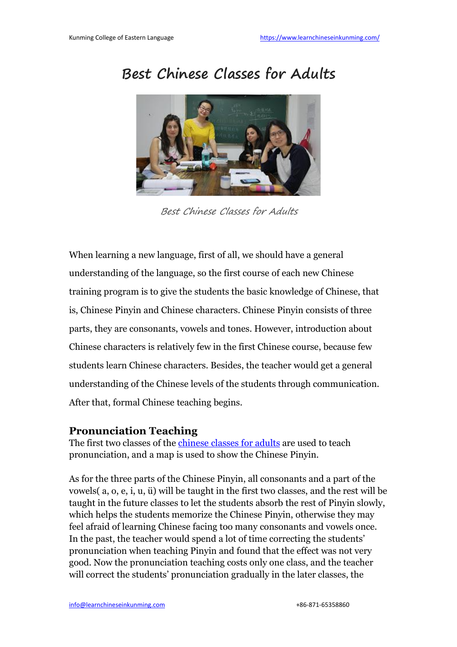## **Best Chinese Classes for Adults**



Best Chinese Classes for Adults

When learning a new language, first of all, we should have a general understanding of the language, so the first course of each new Chinese training program is to give the students the basic knowledge of Chinese, that is, Chinese Pinyin and Chinese characters. Chinese Pinyin consists of three parts, they are consonants, vowels and tones. However, introduction about Chinese characters is relatively few in the first Chinese course, because few students learn Chinese characters. Besides, the teacher would get a general understanding of the Chinese levels of the students through communication. After that, formal Chinese teaching begins.

## **Pronunciation Teaching**

The first two classes of the *[chinese](https://www.learnchineseinkunming.com/type-of-mandarin-chinese-class/) classes* for adults are used to teach pronunciation, and a map is used to show the Chinese Pinyin.

As for the three parts of the Chinese Pinyin, all consonants and a part of the vowels $(a, o, e, i, u, \ddot{u})$  will be taught in the first two classes, and the rest will be taught in the future classes to let the students absorb the rest of Pinyin slowly, which helps the students memorize the Chinese Pinyin, otherwise they may feel afraid of learning Chinese facing too many consonants and vowels once.In the past, the teacher would spend <sup>a</sup> lot of time correcting the students' pronunciation when teaching Pinyin and found that the effectwas not very good. Now the pronunciation teaching costs only one class, and theteacher will correct the students' pronunciation gradually in the later classes, the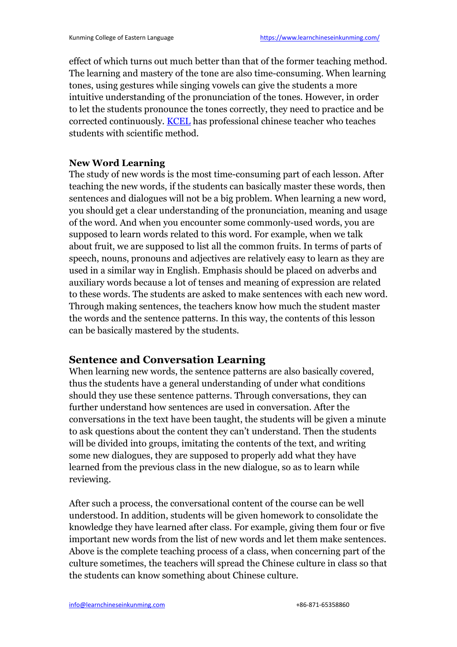effect of which turns out much better than that of the former teaching method. The learning and mastery of the tone are also time-consuming. When learning tones, using gestures while singing vowels can give the students a more intuitive understanding of the pronunciation of the tones. However, in order to let the students pronounce the tones correctly, they need to practice and be corrected continuously. [KCEL](https://www.learnchineseinkunming.com/resources/best-chinese-classes-for-adults.html) has professional chinese teacher who teaches students with scientific method.

## **New Word Learning**

The study of new words is the most [time-consuming](https://2.bp.blogspot.com/-KdeWGlWqC1w/WwvnQaMEhhI/AAAAAAAAAFU/XukoyjWtmjo7zBLtdQLoHCsRZ5kkbBYJQCLcBGAs/s1600/best-chinese-classes-for-adults.jpg) part of each lesson. After teaching the new words, if the students can basically master these words, then sentences and dialogues will not be a big problem. When learning a new word, you should get a clear understanding of the pronunciation, meaning and usage of the word. And when you encounter some commonly-used words, you are supposed to learn words related to this word. For example, when we talk about fruit, we are supposed to list all the common fruits. In terms of parts of speech, nouns, pronouns and adjectives are relatively easy to learn as they are used in a similar way in English. Emphasis should be placed on adverbs and auxiliary words because a lot of tenses and meaning of expression are related to these words. The students are asked to make sentences with each new word. Through making sentences, the teachers know how much the student master the words and the sentence patterns. In this way, the contents of this lesson can be basically mastered by the students.

## **Sentence and Conversation Learning**

When learning new words, the sentence patterns are also basically covered, thus the students have a general understanding of under what conditions should they use these sentence patterns. Through conversations, they can further understand how sentences are used in conversation. After the conversations in the text have been taught, the students will be given a minute to ask questions about the content they can't understand. Then the students will be divided into groups, imitating the contents of the text, and writing some new dialogues, they are supposed to properly add what they have learned from the previous class in the new dialogue, so as to learn while reviewing.

After such a process, the conversational content of the course can be well understood. In addition, students will be given homework to consolidate the knowledge they have learned after class. For example, giving them four or five important new words from the list of new words and let them make sentences. Above is the complete teaching process of a class, when concerning part of the culture sometimes, the teachers will spread theChinese culture in class so that the students can know something about Chinese culture.